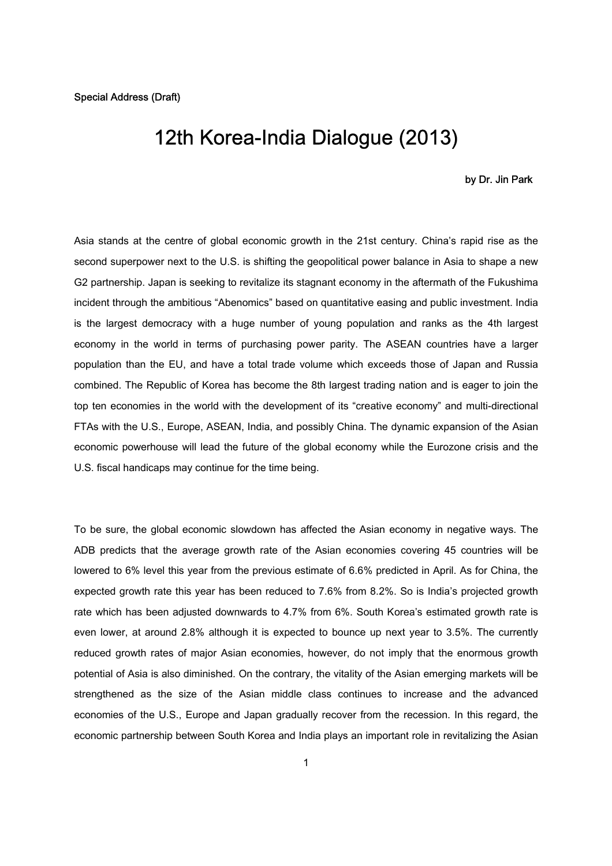## 12th Korea-India Dialogue (2013)

## by Dr. Jin Park

Asia stands at the centre of global economic growth in the 21st century. China's rapid rise as the second superpower next to the U.S. is shifting the geopolitical power balance in Asia to shape a new G2 partnership. Japan is seeking to revitalize its stagnant economy in the aftermath of the Fukushima incident through the ambitious "Abenomics" based on quantitative easing and public investment. India is the largest democracy with a huge number of young population and ranks as the 4th largest economy in the world in terms of purchasing power parity. The ASEAN countries have a larger population than the EU, and have a total trade volume which exceeds those of Japan and Russia combined. The Republic of Korea has become the 8th largest trading nation and is eager to join the top ten economies in the world with the development of its "creative economy" and multi-directional FTAs with the U.S., Europe, ASEAN, India, and possibly China. The dynamic expansion of the Asian economic powerhouse will lead the future of the global economy while the Eurozone crisis and the U.S. fiscal handicaps may continue for the time being.

To be sure, the global economic slowdown has affected the Asian economy in negative ways. The ADB predicts that the average growth rate of the Asian economies covering 45 countries will be lowered to 6% level this year from the previous estimate of 6.6% predicted in April. As for China, the expected growth rate this year has been reduced to 7.6% from 8.2%. So is India's projected growth rate which has been adjusted downwards to 4.7% from 6%. South Korea's estimated growth rate is even lower, at around 2.8% although it is expected to bounce up next year to 3.5%. The currently reduced growth rates of major Asian economies, however, do not imply that the enormous growth potential of Asia is also diminished. On the contrary, the vitality of the Asian emerging markets will be strengthened as the size of the Asian middle class continues to increase and the advanced economies of the U.S., Europe and Japan gradually recover from the recession. In this regard, the economic partnership between South Korea and India plays an important role in revitalizing the Asian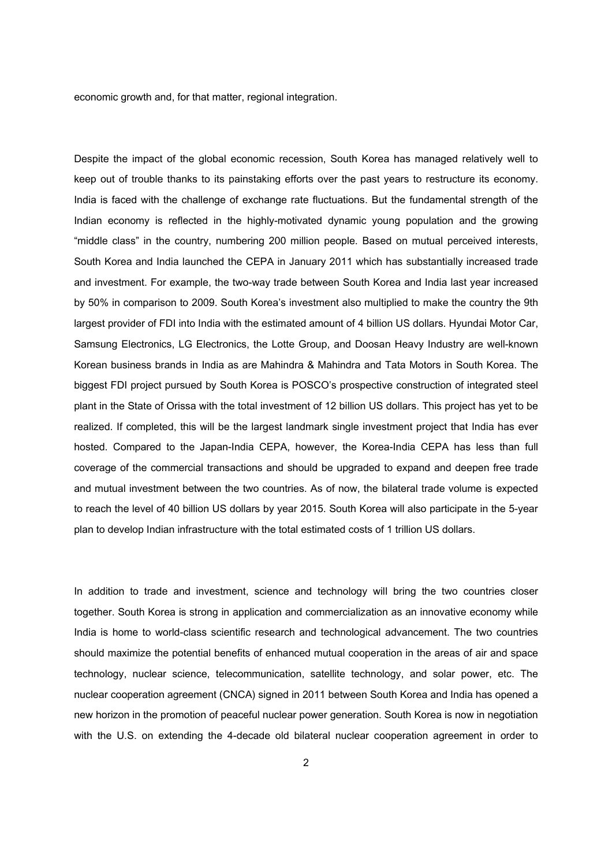economic growth and, for that matter, regional integration.

Despite the impact of the global economic recession, South Korea has managed relatively well to keep out of trouble thanks to its painstaking efforts over the past years to restructure its economy. India is faced with the challenge of exchange rate fluctuations. But the fundamental strength of the Indian economy is reflected in the highly-motivated dynamic young population and the growing "middle class" in the country, numbering 200 million people. Based on mutual perceived interests, South Korea and India launched the CEPA in January 2011 which has substantially increased trade and investment. For example, the two-way trade between South Korea and India last year increased by 50% in comparison to 2009. South Korea's investment also multiplied to make the country the 9th largest provider of FDI into India with the estimated amount of 4 billion US dollars. Hyundai Motor Car, Samsung Electronics, LG Electronics, the Lotte Group, and Doosan Heavy Industry are well-known Korean business brands in India as are Mahindra & Mahindra and Tata Motors in South Korea. The biggest FDI project pursued by South Korea is POSCO's prospective construction of integrated steel plant in the State of Orissa with the total investment of 12 billion US dollars. This project has yet to be realized. If completed, this will be the largest landmark single investment project that India has ever hosted. Compared to the Japan-India CEPA, however, the Korea-India CEPA has less than full coverage of the commercial transactions and should be upgraded to expand and deepen free trade and mutual investment between the two countries. As of now, the bilateral trade volume is expected to reach the level of 40 billion US dollars by year 2015. South Korea will also participate in the 5-year plan to develop Indian infrastructure with the total estimated costs of 1 trillion US dollars.

In addition to trade and investment, science and technology will bring the two countries closer together. South Korea is strong in application and commercialization as an innovative economy while India is home to world-class scientific research and technological advancement. The two countries should maximize the potential benefits of enhanced mutual cooperation in the areas of air and space technology, nuclear science, telecommunication, satellite technology, and solar power, etc. The nuclear cooperation agreement (CNCA) signed in 2011 between South Korea and India has opened a new horizon in the promotion of peaceful nuclear power generation. South Korea is now in negotiation with the U.S. on extending the 4-decade old bilateral nuclear cooperation agreement in order to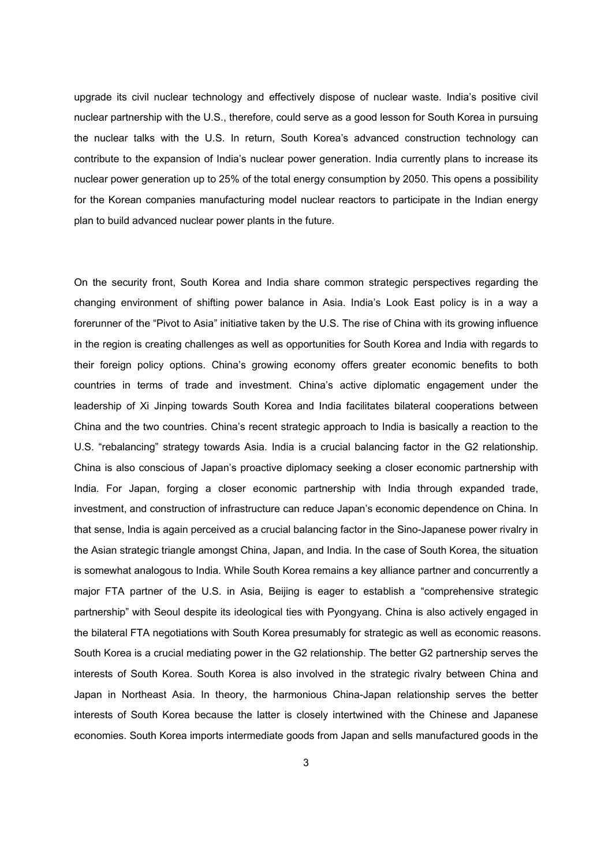upgrade its civil nuclear technology and effectively dispose of nuclear waste. India's positive civil nuclear partnership with the U.S., therefore, could serve as a good lesson for South Korea in pursuing the nuclear talks with the U.S. In return, South Korea's advanced construction technology can contribute to the expansion of India's nuclear power generation. India currently plans to increase its nuclear power generation up to 25% of the total energy consumption by 2050. This opens a possibility for the Korean companies manufacturing model nuclear reactors to participate in the Indian energy plan to build advanced nuclear power plants in the future.

On the security front, South Korea and India share common strategic perspectives regarding the changing environment of shifting power balance in Asia. India's Look East policy is in a way a forerunner of the "Pivot to Asia" initiative taken by the U.S. The rise of China with its growing influence in the region is creating challenges as well as opportunities for South Korea and India with regards to their foreign policy options. China's growing economy offers greater economic benefits to both countries in terms of trade and investment. China's active diplomatic engagement under the leadership of Xi Jinping towards South Korea and India facilitates bilateral cooperations between China and the two countries. China's recent strategic approach to India is basically a reaction to the U.S. "rebalancing" strategy towards Asia. India is a crucial balancing factor in the G2 relationship. China is also conscious of Japan's proactive diplomacy seeking a closer economic partnership with India. For Japan, forging a closer economic partnership with India through expanded trade, investment, and construction of infrastructure can reduce Japan's economic dependence on China. In that sense, India is again perceived as a crucial balancing factor in the Sino-Japanese power rivalry in the Asian strategic triangle amongst China, Japan, and India. In the case of South Korea, the situation is somewhat analogous to India. While South Korea remains a key alliance partner and concurrently a major FTA partner of the U.S. in Asia, Beijing is eager to establish a "comprehensive strategic partnership" with Seoul despite its ideological ties with Pyongyang. China is also actively engaged in the bilateral FTA negotiations with South Korea presumably for strategic as well as economic reasons. South Korea is a crucial mediating power in the G2 relationship. The better G2 partnership serves the interests of South Korea. South Korea is also involved in the strategic rivalry between China and Japan in Northeast Asia. In theory, the harmonious China-Japan relationship serves the better interests of South Korea because the latter is closely intertwined with the Chinese and Japanese economies. South Korea imports intermediate goods from Japan and sells manufactured goods in the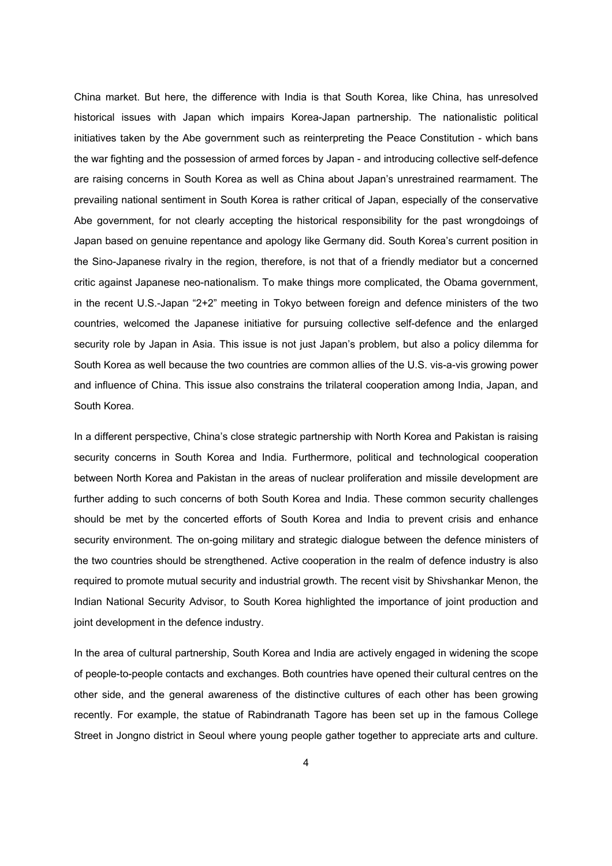China market. But here, the difference with India is that South Korea, like China, has unresolved historical issues with Japan which impairs Korea-Japan partnership. The nationalistic political initiatives taken by the Abe government such as reinterpreting the Peace Constitution - which bans the war fighting and the possession of armed forces by Japan - and introducing collective self-defence are raising concerns in South Korea as well as China about Japan's unrestrained rearmament. The prevailing national sentiment in South Korea is rather critical of Japan, especially of the conservative Abe government, for not clearly accepting the historical responsibility for the past wrongdoings of Japan based on genuine repentance and apology like Germany did. South Korea's current position in the Sino-Japanese rivalry in the region, therefore, is not that of a friendly mediator but a concerned critic against Japanese neo-nationalism. To make things more complicated, the Obama government, in the recent U.S.-Japan "2+2" meeting in Tokyo between foreign and defence ministers of the two countries, welcomed the Japanese initiative for pursuing collective self-defence and the enlarged security role by Japan in Asia. This issue is not just Japan's problem, but also a policy dilemma for South Korea as well because the two countries are common allies of the U.S. vis-a-vis growing power and influence of China. This issue also constrains the trilateral cooperation among India, Japan, and South Korea.

In a different perspective, China's close strategic partnership with North Korea and Pakistan is raising security concerns in South Korea and India. Furthermore, political and technological cooperation between North Korea and Pakistan in the areas of nuclear proliferation and missile development are further adding to such concerns of both South Korea and India. These common security challenges should be met by the concerted efforts of South Korea and India to prevent crisis and enhance security environment. The on-going military and strategic dialogue between the defence ministers of the two countries should be strengthened. Active cooperation in the realm of defence industry is also required to promote mutual security and industrial growth. The recent visit by Shivshankar Menon, the Indian National Security Advisor, to South Korea highlighted the importance of joint production and joint development in the defence industry.

In the area of cultural partnership, South Korea and India are actively engaged in widening the scope of people-to-people contacts and exchanges. Both countries have opened their cultural centres on the other side, and the general awareness of the distinctive cultures of each other has been growing recently. For example, the statue of Rabindranath Tagore has been set up in the famous College Street in Jongno district in Seoul where young people gather together to appreciate arts and culture.